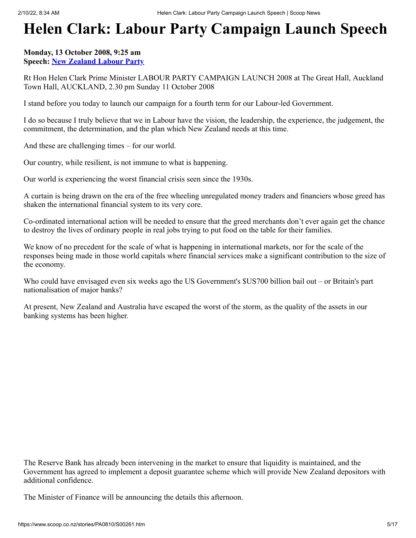# **Helen Clark: Labour Party Campaign Launch Speech**

# **Monday, 13 October 2008, 9:25 am Speech: [New Zealand Labour Party](https://info.scoop.co.nz/New_Zealand_Labour_Party)**

Rt Hon Helen Clark Prime Minister LABOUR PARTY CAMPAIGN LAUNCH 2008 at The Great Hall, Auckland Town Hall, AUCKLAND, 2.30 pm Sunday 11 October 2008

I stand before you today to launch our campaign for a fourth term for our Labour-led Government.

I do so because I truly believe that we in Labour have the vision, the leadership, the experience, the judgement, the commitment, the determination, and the plan which New Zealand needs at this time.

And these are challenging times – for our world.

Our country, while resilient, is not immune to what is happening.

Our world is experiencing the worst financial crisis seen since the 1930s.

A curtain is being drawn on the era of the free wheeling unregulated money traders and financiers whose greed has shaken the international financial system to its very core.

Co-ordinated international action will be needed to ensure that the greed merchants don't ever again get the chance to destroy the lives of ordinary people in real jobs trying to put food on the table for their families.

We know of no precedent for the scale of what is happening in international markets, nor for the scale of the responses being made in those world capitals where financial services make a significant contribution to the size of the economy.

Who could have envisaged even six weeks ago the US Government's \$US700 billion bail out – or Britain's part nationalisation of major banks?

At present, New Zealand and Australia have escaped the worst of the storm, as the quality of the assets in our banking systems has been higher.

The Reserve Bank has already been intervening in the market to ensure that liquidity is maintained, and the Government has agreed to implement a deposit guarantee scheme which will provide New Zealand depositors with additional confidence.

The Minister of Finance will be announcing the details this afternoon.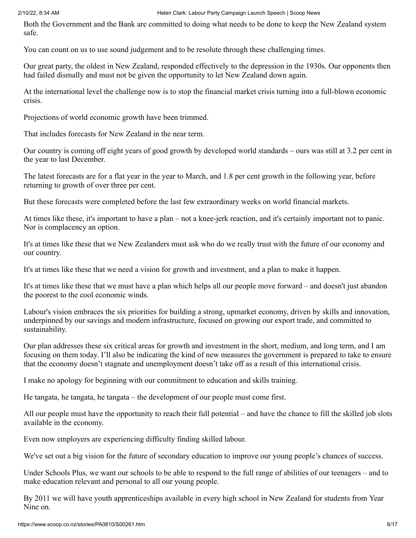Both the Government and the Bank are committed to doing what needs to be done to keep the New Zealand system safe.

You can count on us to use sound judgement and to be resolute through these challenging times.

Our great party, the oldest in New Zealand, responded effectively to the depression in the 1930s. Our opponents then had failed dismally and must not be given the opportunity to let New Zealand down again.

At the international level the challenge now is to stop the financial market crisis turning into a full-blown economic crisis.

Projections of world economic growth have been trimmed.

That includes forecasts for New Zealand in the near term.

Our country is coming off eight years of good growth by developed world standards – ours was still at 3.2 per cent in the year to last December.

The latest forecasts are for a flat year in the year to March, and 1.8 per cent growth in the following year, before returning to growth of over three per cent.

But these forecasts were completed before the last few extraordinary weeks on world financial markets.

At times like these, it's important to have a plan – not a knee-jerk reaction, and it's certainly important not to panic. Nor is complacency an option.

It's at times like these that we New Zealanders must ask who do we really trust with the future of our economy and our country.

It's at times like these that we need a vision for growth and investment, and a plan to make it happen.

It's at times like these that we must have a plan which helps all our people move forward – and doesn't just abandon the poorest to the cool economic winds.

Labour's vision embraces the six priorities for building a strong, upmarket economy, driven by skills and innovation, underpinned by our savings and modern infrastructure, focused on growing our export trade, and committed to sustainability.

Our plan addresses these six critical areas for growth and investment in the short, medium, and long term, and I am focusing on them today. I'll also be indicating the kind of new measures the government is prepared to take to ensure that the economy doesn't stagnate and unemployment doesn't take off as a result of this international crisis.

I make no apology for beginning with our commitment to education and skills training.

He tangata, he tangata, he tangata – the development of our people must come first.

All our people must have the opportunity to reach their full potential – and have the chance to fill the skilled job slots available in the economy.

Even now employers are experiencing difficulty finding skilled labour.

We've set out a big vision for the future of secondary education to improve our young people's chances of success.

Under Schools Plus, we want our schools to be able to respond to the full range of abilities of our teenagers – and to make education relevant and personal to all our young people.

By 2011 we will have youth apprenticeships available in every high school in New Zealand for students from Year Nine on.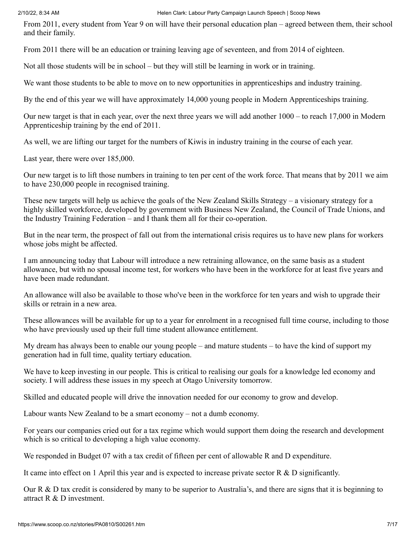From 2011, every student from Year 9 on will have their personal education plan – agreed between them, their school and their family.

From 2011 there will be an education or training leaving age of seventeen, and from 2014 of eighteen.

Not all those students will be in school – but they will still be learning in work or in training.

We want those students to be able to move on to new opportunities in apprenticeships and industry training.

By the end of this year we will have approximately 14,000 young people in Modern Apprenticeships training.

Our new target is that in each year, over the next three years we will add another 1000 – to reach 17,000 in Modern Apprenticeship training by the end of 2011.

As well, we are lifting our target for the numbers of Kiwis in industry training in the course of each year.

Last year, there were over 185,000.

Our new target is to lift those numbers in training to ten per cent of the work force. That means that by 2011 we aim to have 230,000 people in recognised training.

These new targets will help us achieve the goals of the New Zealand Skills Strategy – a visionary strategy for a highly skilled workforce, developed by government with Business New Zealand, the Council of Trade Unions, and the Industry Training Federation – and I thank them all for their co-operation.

But in the near term, the prospect of fall out from the international crisis requires us to have new plans for workers whose jobs might be affected.

I am announcing today that Labour will introduce a new retraining allowance, on the same basis as a student allowance, but with no spousal income test, for workers who have been in the workforce for at least five years and have been made redundant.

An allowance will also be available to those who've been in the workforce for ten years and wish to upgrade their skills or retrain in a new area.

These allowances will be available for up to a year for enrolment in a recognised full time course, including to those who have previously used up their full time student allowance entitlement.

My dream has always been to enable our young people – and mature students – to have the kind of support my generation had in full time, quality tertiary education.

We have to keep investing in our people. This is critical to realising our goals for a knowledge led economy and society. I will address these issues in my speech at Otago University tomorrow.

Skilled and educated people will drive the innovation needed for our economy to grow and develop.

Labour wants New Zealand to be a smart economy – not a dumb economy.

For years our companies cried out for a tax regime which would support them doing the research and development which is so critical to developing a high value economy.

We responded in Budget 07 with a tax credit of fifteen per cent of allowable R and D expenditure.

It came into effect on 1 April this year and is expected to increase private sector R & D significantly.

Our R & D tax credit is considered by many to be superior to Australia's, and there are signs that it is beginning to attract R & D investment.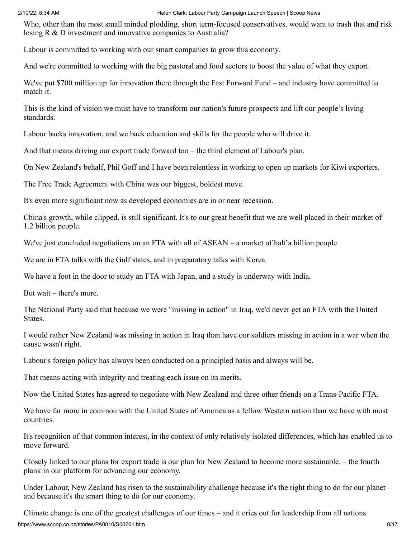Who, other than the most small minded plodding, short term-focused conservatives, would want to trash that and risk losing R & D investment and innovative companies to Australia?

Labour is committed to working with our smart companies to grow this economy.

And we're committed to working with the big pastoral and food sectors to boost the value of what they export.

We've put \$700 million up for innovation there through the Fast Forward Fund – and industry have committed to match it.

This is the kind of vision we must have to transform our nation's future prospects and lift our people's living standards.

Labour backs innovation, and we back education and skills for the people who will drive it.

And that means driving our export trade forward too – the third element of Labour's plan.

On New Zealand's behalf, Phil Goff and I have been relentless in working to open up markets for Kiwi exporters.

The Free Trade Agreement with China was our biggest, boldest move.

It's even more significant now as developed economies are in or near recession.

China's growth, while clipped, is still significant. It's to our great benefit that we are well placed in their market of 1.2 billion people.

We've just concluded negotiations on an FTA with all of ASEAN – a market of half a billion people.

We are in FTA talks with the Gulf states, and in preparatory talks with Korea.

We have a foot in the door to study an FTA with Japan, and a study is underway with India.

But wait – there's more.

The National Party said that because we were "missing in action" in Iraq, we'd never get an FTA with the United States.

I would rather New Zealand was missing in action in Iraq than have our soldiers missing in action in a war when the cause wasn't right.

Labour's foreign policy has always been conducted on a principled basis and always will be.

That means acting with integrity and treating each issue on its merits.

Now the United States has agreed to negotiate with New Zealand and three other friends on a Trans-Pacific FTA.

We have far more in common with the United States of America as a fellow Western nation than we have with most countries.

It's recognition of that common interest, in the context of only relatively isolated differences, which has enabled us to move forward.

Closely linked to our plans for export trade is our plan for New Zealand to become more sustainable. – the fourth plank in our platform for advancing our economy.

Under Labour, New Zealand has risen to the sustainability challenge because it's the right thing to do for our planet – and because it's the smart thing to do for our economy.

Climate change is one of the greatest challenges of our times – and it cries out for leadership from all nations.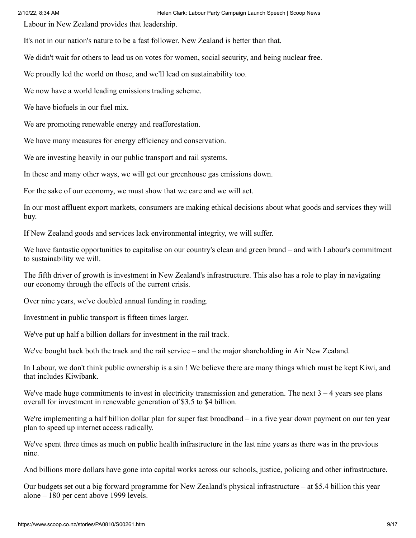Labour in New Zealand provides that leadership.

It's not in our nation's nature to be a fast follower. New Zealand is better than that.

We didn't wait for others to lead us on votes for women, social security, and being nuclear free.

We proudly led the world on those, and we'll lead on sustainability too.

We now have a world leading emissions trading scheme.

We have biofuels in our fuel mix.

We are promoting renewable energy and reafforestation.

We have many measures for energy efficiency and conservation.

We are investing heavily in our public transport and rail systems.

In these and many other ways, we will get our greenhouse gas emissions down.

For the sake of our economy, we must show that we care and we will act.

In our most affluent export markets, consumers are making ethical decisions about what goods and services they will buy.

If New Zealand goods and services lack environmental integrity, we will suffer.

We have fantastic opportunities to capitalise on our country's clean and green brand – and with Labour's commitment to sustainability we will.

The fifth driver of growth is investment in New Zealand's infrastructure. This also has a role to play in navigating our economy through the effects of the current crisis.

Over nine years, we've doubled annual funding in roading.

Investment in public transport is fifteen times larger.

We've put up half a billion dollars for investment in the rail track.

We've bought back both the track and the rail service – and the major shareholding in Air New Zealand.

In Labour, we don't think public ownership is a sin ! We believe there are many things which must be kept Kiwi, and that includes Kiwibank.

We've made huge commitments to invest in electricity transmission and generation. The next  $3 - 4$  years see plans overall for investment in renewable generation of \$3.5 to \$4 billion.

We're implementing a half billion dollar plan for super fast broadband – in a five year down payment on our ten year plan to speed up internet access radically.

We've spent three times as much on public health infrastructure in the last nine years as there was in the previous nine.

And billions more dollars have gone into capital works across our schools, justice, policing and other infrastructure.

Our budgets set out a big forward programme for New Zealand's physical infrastructure – at \$5.4 billion this year alone – 180 per cent above 1999 levels.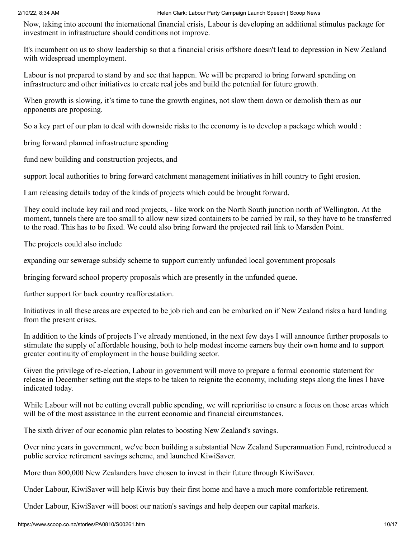Now, taking into account the international financial crisis, Labour is developing an additional stimulus package for investment in infrastructure should conditions not improve.

It's incumbent on us to show leadership so that a financial crisis offshore doesn't lead to depression in New Zealand with widespread unemployment.

Labour is not prepared to stand by and see that happen. We will be prepared to bring forward spending on infrastructure and other initiatives to create real jobs and build the potential for future growth.

When growth is slowing, it's time to tune the growth engines, not slow them down or demolish them as our opponents are proposing.

So a key part of our plan to deal with downside risks to the economy is to develop a package which would :

bring forward planned infrastructure spending

fund new building and construction projects, and

support local authorities to bring forward catchment management initiatives in hill country to fight erosion.

I am releasing details today of the kinds of projects which could be brought forward.

They could include key rail and road projects, - like work on the North South junction north of Wellington. At the moment, tunnels there are too small to allow new sized containers to be carried by rail, so they have to be transferred to the road. This has to be fixed. We could also bring forward the projected rail link to Marsden Point.

The projects could also include

expanding our sewerage subsidy scheme to support currently unfunded local government proposals

bringing forward school property proposals which are presently in the unfunded queue.

further support for back country reafforestation.

Initiatives in all these areas are expected to be job rich and can be embarked on if New Zealand risks a hard landing from the present crises.

In addition to the kinds of projects I've already mentioned, in the next few days I will announce further proposals to stimulate the supply of affordable housing, both to help modest income earners buy their own home and to support greater continuity of employment in the house building sector.

Given the privilege of re-election, Labour in government will move to prepare a formal economic statement for release in December setting out the steps to be taken to reignite the economy, including steps along the lines I have indicated today.

While Labour will not be cutting overall public spending, we will reprioritise to ensure a focus on those areas which will be of the most assistance in the current economic and financial circumstances.

The sixth driver of our economic plan relates to boosting New Zealand's savings.

Over nine years in government, we've been building a substantial New Zealand Superannuation Fund, reintroduced a public service retirement savings scheme, and launched KiwiSaver.

More than 800,000 New Zealanders have chosen to invest in their future through KiwiSaver.

Under Labour, KiwiSaver will help Kiwis buy their first home and have a much more comfortable retirement.

Under Labour, KiwiSaver will boost our nation's savings and help deepen our capital markets.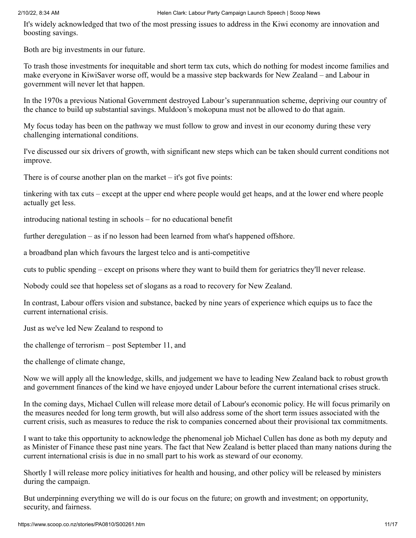It's widely acknowledged that two of the most pressing issues to address in the Kiwi economy are innovation and boosting savings.

Both are big investments in our future.

To trash those investments for inequitable and short term tax cuts, which do nothing for modest income families and make everyone in KiwiSaver worse off, would be a massive step backwards for New Zealand – and Labour in government will never let that happen.

In the 1970s a previous National Government destroyed Labour's superannuation scheme, depriving our country of the chance to build up substantial savings. Muldoon's mokopuna must not be allowed to do that again.

My focus today has been on the pathway we must follow to grow and invest in our economy during these very challenging international conditions.

I've discussed our six drivers of growth, with significant new steps which can be taken should current conditions not improve.

There is of course another plan on the market  $-$  it's got five points:

tinkering with tax cuts – except at the upper end where people would get heaps, and at the lower end where people actually get less.

introducing national testing in schools – for no educational benefit

further deregulation – as if no lesson had been learned from what's happened offshore.

a broadband plan which favours the largest telco and is anti-competitive

cuts to public spending – except on prisons where they want to build them for geriatrics they'll never release.

Nobody could see that hopeless set of slogans as a road to recovery for New Zealand.

In contrast, Labour offers vision and substance, backed by nine years of experience which equips us to face the current international crisis.

Just as we've led New Zealand to respond to

the challenge of terrorism – post September 11, and

the challenge of climate change,

Now we will apply all the knowledge, skills, and judgement we have to leading New Zealand back to robust growth and government finances of the kind we have enjoyed under Labour before the current international crises struck.

In the coming days, Michael Cullen will release more detail of Labour's economic policy. He will focus primarily on the measures needed for long term growth, but will also address some of the short term issues associated with the current crisis, such as measures to reduce the risk to companies concerned about their provisional tax commitments.

I want to take this opportunity to acknowledge the phenomenal job Michael Cullen has done as both my deputy and as Minister of Finance these past nine years. The fact that New Zealand is better placed than many nations during the current international crisis is due in no small part to his work as steward of our economy.

Shortly I will release more policy initiatives for health and housing, and other policy will be released by ministers during the campaign.

But underpinning everything we will do is our focus on the future; on growth and investment; on opportunity, security, and fairness.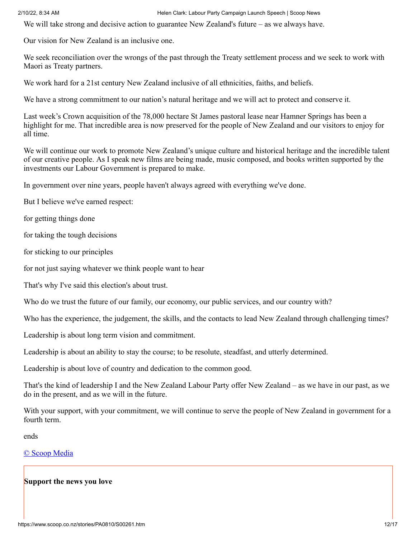We will take strong and decisive action to guarantee New Zealand's future – as we always have.

Our vision for New Zealand is an inclusive one.

We seek reconciliation over the wrongs of the past through the Treaty settlement process and we seek to work with Maori as Treaty partners.

We work hard for a 21st century New Zealand inclusive of all ethnicities, faiths, and beliefs.

We have a strong commitment to our nation's natural heritage and we will act to protect and conserve it.

Last week's Crown acquisition of the 78,000 hectare St James pastoral lease near Hamner Springs has been a highlight for me. That incredible area is now preserved for the people of New Zealand and our visitors to enjoy for all time.

We will continue our work to promote New Zealand's unique culture and historical heritage and the incredible talent of our creative people. As I speak new films are being made, music composed, and books written supported by the investments our Labour Government is prepared to make.

In government over nine years, people haven't always agreed with everything we've done.

But I believe we've earned respect:

for getting things done

for taking the tough decisions

for sticking to our principles

for not just saying whatever we think people want to hear

That's why I've said this election's about trust.

Who do we trust the future of our family, our economy, our public services, and our country with?

Who has the experience, the judgement, the skills, and the contacts to lead New Zealand through challenging times?

Leadership is about long term vision and commitment.

Leadership is about an ability to stay the course; to be resolute, steadfast, and utterly determined.

Leadership is about love of country and dedication to the common good.

That's the kind of leadership I and the New Zealand Labour Party offer New Zealand – as we have in our past, as we do in the present, and as we will in the future.

With your support, with your commitment, we will continue to serve the people of New Zealand in government for a fourth term.

ends

[© Scoop Media](http://www.scoop.co.nz/about/terms.html)

# **Support the news you love**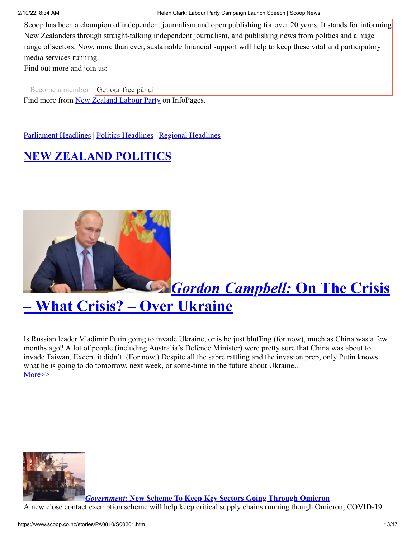Scoop has been a champion of independent journalism and open publishing for over 20 years. It stands for informing New Zealanders through straight-talking independent journalism, and publishing news from politics and a huge range of sectors. Now, more than ever, sustainable financial support will help to keep these vital and participatory media services running.

Find out more and join us:

[Become a member](https://foundation.scoop.co.nz/citizen/?from=SFMember) [Get our free pānui](https://www.scoop.co.nz/about/newsletter.html?from=SFPanui) Find more from [New Zealand Labour Party](https://info.scoop.co.nz/New_Zealand_Labour_Party) on InfoPages.

[Parliament Headlines](http://www.scoop.co.nz/news/parliament.html) | [Politics Headlines](http://www.scoop.co.nz/news/politics.html) | [Regional Headlines](http://www.scoop.co.nz/news/regional.html)

# **[NEW ZEALAND POLITICS](http://www.scoop.co.nz/sections/nzpolitics.html)**



# *Gordon Campbell:* **On The Crisis [– What Crisis? – Over Ukraine](https://www.scoop.co.nz/stories/HL2202/S00024/on-the-crisis-what-crisis-over-ukraine.htm)**

Is Russian leader Vladimir Putin going to invade Ukraine, or is he just bluffing (for now), much as China was a few months ago? A lot of people (including Australia's Defence Minister) were pretty sure that China was about to invade Taiwan. Except it didn't. (For now.) Despite all the sabre rattling and the invasion prep, only Putin knows what he is going to do tomorrow, next week, or some-time in the future about Ukraine... [More>>](https://www.scoop.co.nz/stories/HL2202/S00024/on-the-crisis-what-crisis-over-ukraine.htm)



*Government:* **[New Scheme To Keep Key Sectors Going Through Omicron](https://www.scoop.co.nz/stories/PA2202/S00065/new-scheme-to-keep-key-sectors-going-through-omicron.htm)**

A new close contact exemption scheme will help keep critical supply chains running though Omicron, COVID-19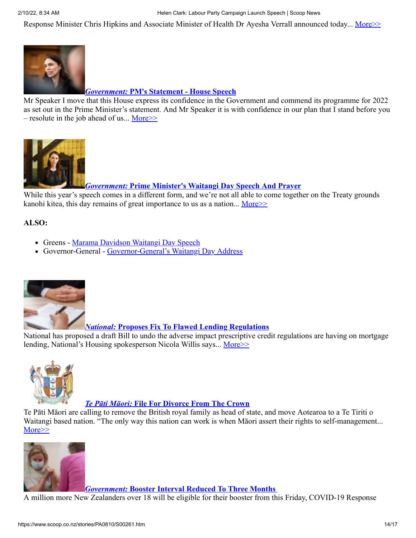Response Minister Chris Hipkins and Associate Minister of Health Dr Ayesha Verrall announced today... [More>>](https://www.scoop.co.nz/stories/PA2202/S00065/new-scheme-to-keep-key-sectors-going-through-omicron.htm)



# *Government:* **[PM's Statement - House Speech](https://www.scoop.co.nz/stories/PA2202/S00053/pms-statement-house-speech.htm)**

Mr Speaker I move that this House express its confidence in the Government and commend its programme for 2022 as set out in the Prime Minister's statement. And Mr Speaker it is with confidence in our plan that I stand before you – resolute in the job ahead of us... More $\geq$ 



*Government:* **[Prime Minister's Waitangi Day Speech And Prayer](https://www.scoop.co.nz/stories/PA2202/S00042/prime-ministers-waitangi-day-speech-and-prayer.htm)**

While this year's speech comes in a different form, and we're not all able to come together on the Treaty grounds kanohi kitea, this day remains of great importance to us as a nation... More  $\gg$ 

# **ALSO:**

- Greens - [Marama Davidson Waitangi Day Speech](https://www.scoop.co.nz/stories/PA2202/S00044/marama-davidson-waitangi-day-speech.htm)
- Governor-General [Governor-General's Waitangi Day Address](https://www.scoop.co.nz/stories/PO2202/S00060/governor-generals-waitangi-day-address.htm)



# *National:* **[Proposes Fix To Flawed Lending Regulations](https://www.scoop.co.nz/stories/PA2202/S00064/national-proposes-fix-to-flawed-lending-regulations.htm)**

National has proposed a draft Bill to undo the adverse impact prescriptive credit regulations are having on mortgage lending, National's Housing spokesperson Nicola Willis says... [More>>](https://www.scoop.co.nz/stories/PA2202/S00064/national-proposes-fix-to-flawed-lending-regulations.htm)



# *Te Pāti Māori:* **[File For Divorce From The Crown](https://www.scoop.co.nz/stories/PO2202/S00057/te-pati-maori-file-for-divorce-from-the-crown.htm)**

Te Pāti Māori are calling to remove the British royal family as head of state, and move Aotearoa to a Te Tiriti o Waitangi based nation. "The only way this nation can work is when Māori assert their rights to self-management... [More>>](https://www.scoop.co.nz/stories/PO2202/S00057/te-pati-maori-file-for-divorce-from-the-crown.htm)



*Government:* **[Booster Interval Reduced To Three Months](https://www.scoop.co.nz/stories/PA2202/S00022/booster-interval-reduced-to-three-months.htm)** 

A million more New Zealanders over 18 will be eligible for their booster from this Friday, COVID-19 Response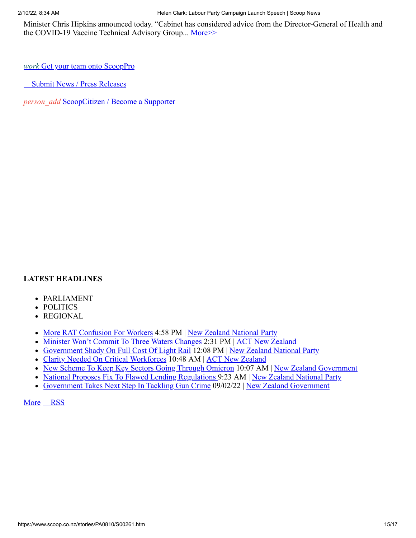Minister Chris Hipkins announced today. "Cabinet has considered advice from the Director-General of Health and the COVID-19 Vaccine Technical Advisory Group... [More>>](https://www.scoop.co.nz/stories/PA2202/S00022/booster-interval-reduced-to-three-months.htm)

*work* [Get your team onto ScoopPro](https://pro.scoop.co.nz/?source=SPW)

[Submit News / Press Releases](https://www.scoop.co.nz/about/submit.html?source=RHS)

*person\_add* [ScoopCitizen / Become a Supporter](https://foundation.scoop.co.nz/citizen/?source=SPW)

# **LATEST HEADLINES** LATEST HEADL<br>
• PARLIAMEI<br>
• P[O](https://www.googleadservices.com/pagead/aclk?sa=L&ai=Cw4W2ZxMFYuWIBaiayQPFpZaoDuqp6KpostTN1asPiK2WmEMQASDkve4CYMm2mYfQo9gQoAHHjJSYA8gBCagDAcgDywSqBIcCT9BfTY1_uYgv43uB3q-UFR1jevjwgDYGFRTH8WK4bD20H4IEqZd7kEmQz7mIn9c25GYd2Pc8x5YxqtWImK4cS01Ao2RqBBLM6TAsTVS5s78asqboYMG6NrPM1n_2wIkaU0odKSptBZjlR68MWwZGQD88HCtRrCYHYgh3XBi0fP4efPaad21MnhlygB8mNF0Q7DMcoehaDUP-j4LTo7mCIBNfDDkP_N07WCudskHNMkLReUMul3opE6IOry6eh-ECyue8YInO8FCRJnt6gn3HiGInI0oDXAVyMWZFZUxNDeIIl3W7nmsKmd4jl1nM8PpFMzPVkIOMJ_mJBd9jQepZXC_O9O_U3f7ABLnB8onVA5AGAaAGLoAH4NW31QKIBwGQBwKoB47OG6gHk9gbqAfulrECqAf-nrECqAfVyRuoB6a-G6gH89EbqAeW2BuoB6qbsQKoB9-fsQLYBwDSCAYIABACGBqxCaZaJ1zd9EkugAoBmAsByAsBgAwBuAwB2BMMiBQB0BUB-BYBgBcB&ae=1&num=1&cid=CAMSeQClSFh3kml31xbF-b4uFg2Yed99kGzMUuCWeBkws9VuZGhywIoOsZcoFK-farMiuVzVipd-jtFvlzcm3AlErQRg_0XKj9oYxWSx7VCyenxHRXEPcW0Qu7dgdL_VAHs92S-xvk05-Q9skRaBbhkuof2G-F58e2oviKU&sig=AOD64_3xqeo18PmclbSrnSS5sHeWpiRBWA&client=ca-pub-3779115520653219&nb=1&adurl=https://secure.winred.com/save-america-joint-fundraising-committee/trump-approval/%3Futm_medium%3Dad%26utm_source%3Ddp_googletd%26utm_campaign%3D20211101_na_genericpros_saveamerica_saveamerica_ocpmypur_bh_audience0090_creative01391_na_us_b_18-99_gdnw_all_na_lp0082_acq_leads_static_1080_1080_na%26utm_content%3Dpros%26utm_term%3Dwww.scoop.co.nz%26gclid%3DCj0KCQiAjJOQBhCkARIsAEKMtO3UqfrbRTz69EVnie53QlinEnIgIzD2JUXF0v6ebZh59fovArE-Ae0aAjQBEALw_wcB)LITICS<br>
• REGIONAL<br>
• <u>More RAT C</u><br>
<u>• Minister Wor</u><br>
• <u>Government</u><br>
• <u>National Propeoper Government</u><br>
<u>More RSS</u>

- PARLIAMENT
- POLITICS
- REGIONAL
- [More RAT Confusion For Workers](https://www.scoop.co.nz/stories/PA2202/S00069/more-rat-confusion-for-workers.htm) 4:58 PM | [New Zealand National Party](https://info.scoop.co.nz/New_Zealand_National_Party)
- [Minister Won't Commit To Three Waters Changes](https://www.scoop.co.nz/stories/PA2202/S00068/minister-wont-commit-to-three-waters-changes.htm) 2:31 PM | [ACT New Zealand](https://info.scoop.co.nz/ACT_New_Zealand)
- [Government Shady On Full Cost Of Light Rail](https://www.scoop.co.nz/stories/PA2202/S00067/government-shady-on-full-cost-of-light-rail.htm) 12:08 PM | [New Zealand National Party](https://info.scoop.co.nz/New_Zealand_National_Party)
- [Clarity Needed On Critical Workforces](https://www.scoop.co.nz/stories/PA2202/S00066/clarity-needed-on-critical-workforces.htm) 10:48 AM | [ACT New Zealand](https://info.scoop.co.nz/ACT_New_Zealand)
- [New Scheme To Keep Key Sectors Going Through Omicron](https://www.scoop.co.nz/stories/PA2202/S00065/new-scheme-to-keep-key-sectors-going-through-omicron.htm) 10:07 AM | [New Zealand Government](https://info.scoop.co.nz/New_Zealand_Government)
- [National Proposes Fix To Flawed Lending Regulations 9](https://www.scoop.co.nz/stories/PA2202/S00064/national-proposes-fix-to-flawed-lending-regulations.htm):23 AM | [New Zealand National Party](https://info.scoop.co.nz/New_Zealand_National_Party)
- [Government Takes Next Step In Tackling Gun Crime](https://www.scoop.co.nz/stories/PA2202/S00063/government-takes-next-step-in-tackling-gun-crime.htm) 09/02/22 | [New Zealand Government](https://info.scoop.co.nz/New_Zealand_Government)

More RSS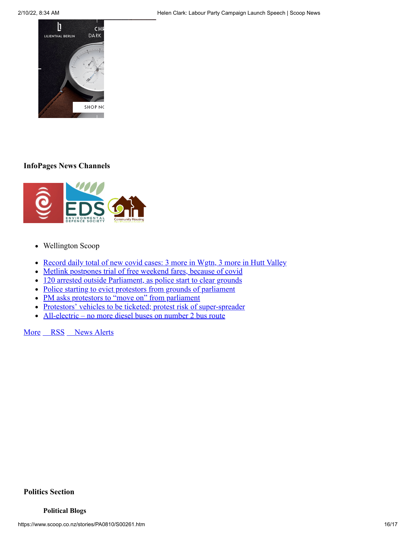

# **InfoPages News Channels**



- Wellington Scoop
- [Record daily total of new covid cases: 3 more in Wgtn, 3 more in Hutt Valley](https://wellington.scoop.co.nz/?p=142391)
- [Metlink postpones trial of free weekend fares, because of covid](https://wellington.scoop.co.nz/?p=142443)  $\bullet$
- [120 arrested outside Parliament, as police start to clear grounds](https://wellington.scoop.co.nz/?p=142427)
- [Police starting to evict protestors from grounds of parliament](https://wellington.scoop.co.nz/?p=142435)
- [PM asks protestors to "move on" from parliament](https://wellington.scoop.co.nz/?p=142437)
- [Protestors' vehicles to be ticketed; protest risk of super-spreader](https://wellington.scoop.co.nz/?p=142429)
- [All-electric no more diesel buses on number 2 bus route](https://wellington.scoop.co.nz/?p=142440)

[More](http://wellington.scoop.co.nz/) [RSS](http://wellington.scoop.co.nz/?cat=6062&feed=rss2) [News Alerts](https://newsagent.scoop.co.nz/)

# **Politics Section**

## **Political Blogs**